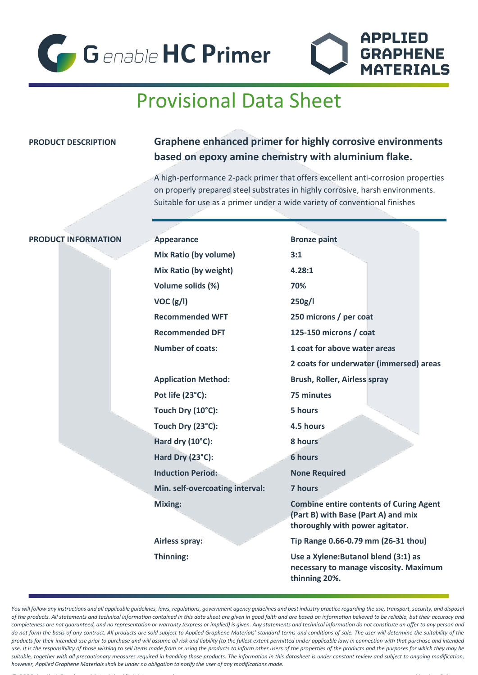



# Provisional Data Sheet

## **PRODUCT DESCRIPTION Graphene enhanced primer for highly corrosive environments based on epoxy amine chemistry with aluminium flake.**

A high-performance 2-pack primer that offers excellent anti-corrosion properties on properly prepared steel substrates in highly corrosive, harsh environments. Suitable for use as a primer under a wide variety of conventional finishes

### **PRODUCT INFORMATION** Appearance **Bronze paint**

**Mix Ratio (by volume) 3:1 Mix Ratio (by weight) 4.28:1 Volume solids (%) 70% VOC (g/l) 250g/l**

**Application Method: Brush, Roller, Airless spray Pot life (23°C): 75 minutes Touch Dry (10°C): 5 hours Touch Dry (23°C): 4.5 hours Hard dry (10°C): 8 hours Hard Dry (23°C): 6 hours Induction Period:** None Required **Min. self-overcoating interval: 7 hours**

**Recommended WFT 250 microns / per coat Recommended DFT 125-150 microns / coat Number of coats: 1 coat for above water areas 2 coats for underwater (immersed) areas Mixing: Combine entire contents of Curing Agent (Part B) with Base (Part A) and mix thoroughly with power agitator. Airless spray: Tip Range 0.66-0.79 mm (26-31 thou) Thinning: Use a Xylene:Butanol blend (3:1) as necessary to manage viscosity. Maximum** 

**thinning 20%.**

You will follow any instructions and all applicable guidelines, laws, regulations, government agency guidelines and best industry practice regarding the use, transport, security, and disposal *of the products. All statements and technical information contained in this data sheet are given in good faith and are based on information believed to be reliable, but their accuracy and completeness are not guaranteed, and no representation or warranty (express or implied) is given. Any statements and technical information do not constitute an offer to any person and*  do not form the basis of any contract. All products are sold subject to Applied Graphene Materials' standard terms and conditions of sale. The user will determine the suitability of the *products for their intended use prior to purchase and will assume all risk and liability (to the fullest extent permitted under applicable law) in connection with that purchase and intended use. It is the responsibility of those wishing to sell items made from or using the products to inform other users of the properties of the products and the purposes for which they may be suitable, together with all precautionary measures required in handling those products. The information in this datasheet is under constant review and subject to ongoing modification, however, Applied Graphene Materials shall be under no obligation to notify the user of any modifications made.*

© 2020 Applied Graphene Materials. All rights reserved. Version 2.1